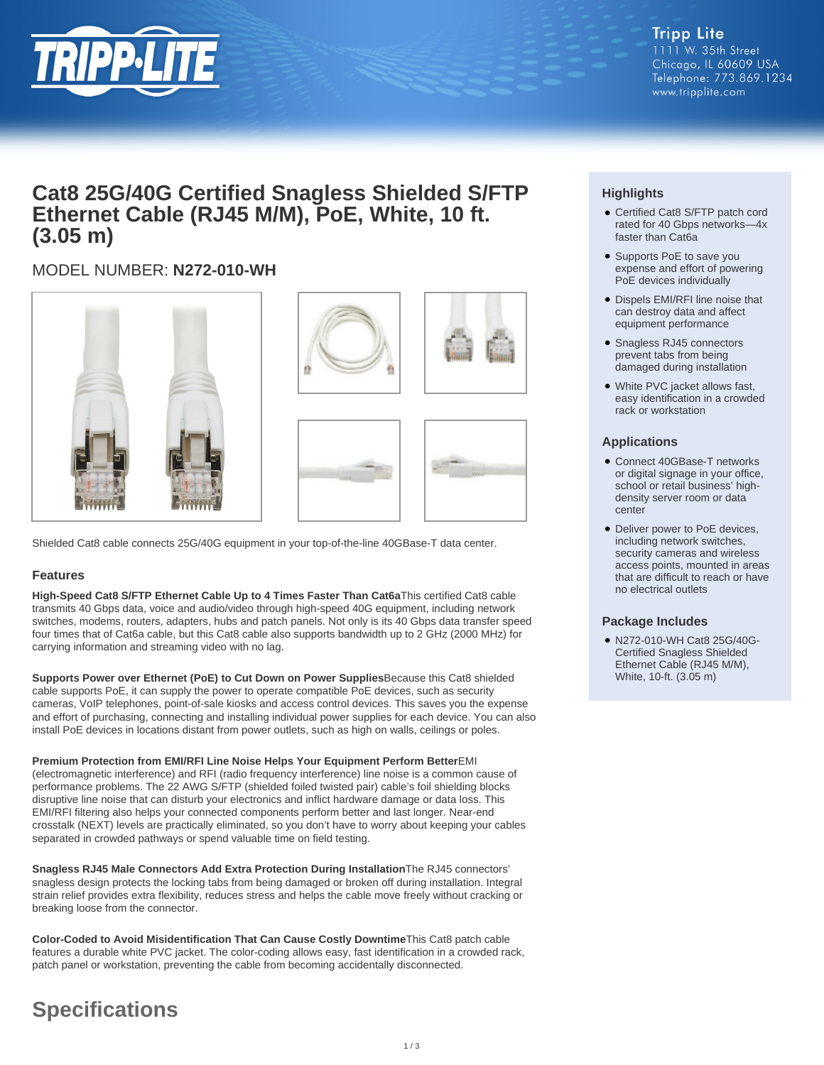

# **Cat8 25G/40G Certified Snagless Shielded S/FTP Ethernet Cable (RJ45 M/M), PoE, White, 10 ft. (3.05 m)**

## MODEL NUMBER: **N272-010-WH**



Shielded Cat8 cable connects 25G/40G equipment in your top-of-the-line 40GBase-T data center.

### **Features**

**High-Speed Cat8 S/FTP Ethernet Cable Up to 4 Times Faster Than Cat6a**This certified Cat8 cable transmits 40 Gbps data, voice and audio/video through high-speed 40G equipment, including network switches, modems, routers, adapters, hubs and patch panels. Not only is its 40 Gbps data transfer speed four times that of Cat6a cable, but this Cat8 cable also supports bandwidth up to 2 GHz (2000 MHz) for carrying information and streaming video with no lag.

**Supports Power over Ethernet (PoE) to Cut Down on Power Supplies**Because this Cat8 shielded cable supports PoE, it can supply the power to operate compatible PoE devices, such as security cameras, VoIP telephones, point-of-sale kiosks and access control devices. This saves you the expense and effort of purchasing, connecting and installing individual power supplies for each device. You can also install PoE devices in locations distant from power outlets, such as high on walls, ceilings or poles.

**Premium Protection from EMI/RFI Line Noise Helps Your Equipment Perform Better**EMI (electromagnetic interference) and RFI (radio frequency interference) line noise is a common cause of performance problems. The 22 AWG S/FTP (shielded foiled twisted pair) cable's foil shielding blocks disruptive line noise that can disturb your electronics and inflict hardware damage or data loss. This EMI/RFI filtering also helps your connected components perform better and last longer. Near-end crosstalk (NEXT) levels are practically eliminated, so you don't have to worry about keeping your cables separated in crowded pathways or spend valuable time on field testing.

**Snagless RJ45 Male Connectors Add Extra Protection During Installation**The RJ45 connectors' snagless design protects the locking tabs from being damaged or broken off during installation. Integral strain relief provides extra flexibility, reduces stress and helps the cable move freely without cracking or breaking loose from the connector.

**Color-Coded to Avoid Misidentification That Can Cause Costly Downtime**This Cat8 patch cable features a durable white PVC jacket. The color-coding allows easy, fast identification in a crowded rack, patch panel or workstation, preventing the cable from becoming accidentally disconnected.

# **Specifications**

### **Highlights**

- Certified Cat8 S/FTP patch cord rated for 40 Gbps networks—4x faster than Cat6a
- Supports PoE to save you expense and effort of powering PoE devices individually
- Dispels EMI/RFI line noise that can destroy data and affect equipment performance
- Snagless RJ45 connectors prevent tabs from being damaged during installation
- White PVC jacket allows fast, easy identification in a crowded rack or workstation

### **Applications**

- Connect 40GBase-T networks or digital signage in your office, school or retail business' highdensity server room or data center
- Deliver power to PoE devices, including network switches, security cameras and wireless access points, mounted in areas that are difficult to reach or have no electrical outlets

#### **Package Includes**

N272-010-WH Cat8 25G/40G-● Certified Snagless Shielded Ethernet Cable (RJ45 M/M), White, 10-ft. (3.05 m)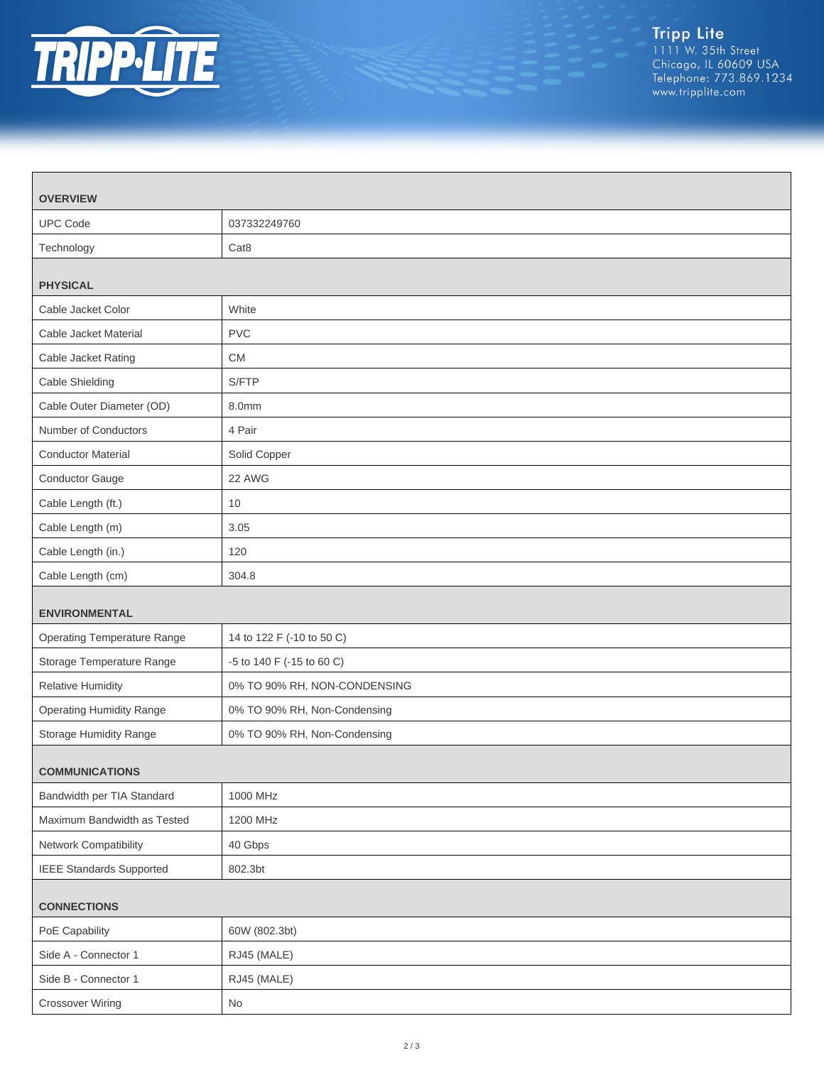

| <b>OVERVIEW</b>                    |                              |
|------------------------------------|------------------------------|
| <b>UPC Code</b>                    | 037332249760                 |
| Technology                         | Cat <sub>8</sub>             |
| <b>PHYSICAL</b>                    |                              |
| Cable Jacket Color                 | White                        |
| Cable Jacket Material              | <b>PVC</b>                   |
| Cable Jacket Rating                | <b>CM</b>                    |
| Cable Shielding                    | S/FTP                        |
| Cable Outer Diameter (OD)          | 8.0mm                        |
| Number of Conductors               | 4 Pair                       |
| <b>Conductor Material</b>          | Solid Copper                 |
| Conductor Gauge                    | 22 AWG                       |
| Cable Length (ft.)                 | 10                           |
| Cable Length (m)                   | 3.05                         |
| Cable Length (in.)                 | 120                          |
| Cable Length (cm)                  | 304.8                        |
| <b>ENVIRONMENTAL</b>               |                              |
| <b>Operating Temperature Range</b> | 14 to 122 F (-10 to 50 C)    |
| Storage Temperature Range          | -5 to 140 F (-15 to 60 C)    |
| <b>Relative Humidity</b>           | 0% TO 90% RH, NON-CONDENSING |
| <b>Operating Humidity Range</b>    | 0% TO 90% RH, Non-Condensing |
| Storage Humidity Range             | 0% TO 90% RH, Non-Condensing |
| <b>COMMUNICATIONS</b>              |                              |
| Bandwidth per TIA Standard         | 1000 MHz                     |
| Maximum Bandwidth as Tested        | 1200 MHz                     |
| Network Compatibility              | 40 Gbps                      |
| <b>IEEE Standards Supported</b>    | 802.3bt                      |
| <b>CONNECTIONS</b>                 |                              |
| PoE Capability                     | 60W (802.3bt)                |
| Side A - Connector 1               | RJ45 (MALE)                  |
| Side B - Connector 1               | RJ45 (MALE)                  |
| <b>Crossover Wiring</b>            | No                           |